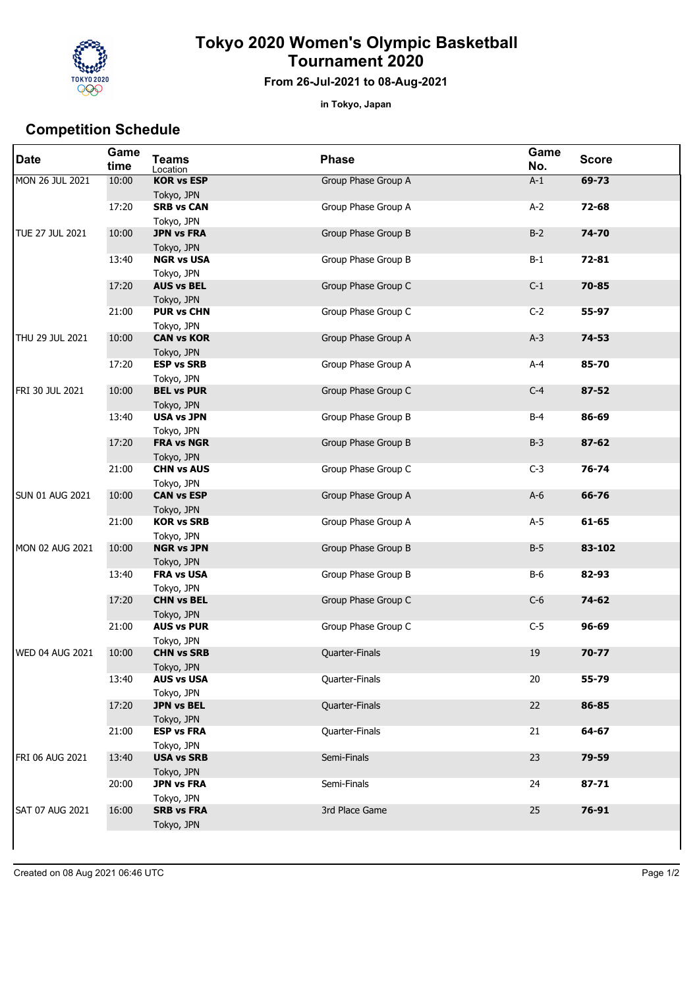

## **Tokyo 2020 Women's Olympic Basketball Tournament 2020**

## **From 26-Jul-2021 to 08-Aug-2021**

**in Tokyo, Japan**

## **Competition Schedule**

| <b>Date</b>            | Game<br>time | <b>Teams</b><br>Location        | <b>Phase</b>        | Game<br>No. | <b>Score</b> |
|------------------------|--------------|---------------------------------|---------------------|-------------|--------------|
| MON 26 JUL 2021        | 10:00        | <b>KOR vs ESP</b><br>Tokyo, JPN | Group Phase Group A | $A-1$       | $69 - 73$    |
|                        | 17:20        | <b>SRB vs CAN</b><br>Tokyo, JPN | Group Phase Group A | $A-2$       | 72-68        |
| TUE 27 JUL 2021        | 10:00        | <b>JPN vs FRA</b><br>Tokyo, JPN | Group Phase Group B | $B-2$       | 74-70        |
|                        | 13:40        | <b>NGR vs USA</b><br>Tokyo, JPN | Group Phase Group B | $B-1$       | 72-81        |
|                        | 17:20        | <b>AUS vs BEL</b><br>Tokyo, JPN | Group Phase Group C | $C-1$       | 70-85        |
|                        | 21:00        | <b>PUR vs CHN</b><br>Tokyo, JPN | Group Phase Group C | $C-2$       | 55-97        |
| THU 29 JUL 2021        | 10:00        | <b>CAN vs KOR</b><br>Tokyo, JPN | Group Phase Group A | $A-3$       | 74-53        |
|                        | 17:20        | <b>ESP vs SRB</b><br>Tokyo, JPN | Group Phase Group A | $A-4$       | 85-70        |
| FRI 30 JUL 2021        | 10:00        | <b>BEL vs PUR</b><br>Tokyo, JPN | Group Phase Group C | $C-4$       | 87-52        |
|                        | 13:40        | <b>USA vs JPN</b><br>Tokyo, JPN | Group Phase Group B | $B-4$       | 86-69        |
|                        | 17:20        | <b>FRA vs NGR</b><br>Tokyo, JPN | Group Phase Group B | $B-3$       | 87-62        |
|                        | 21:00        | <b>CHN vs AUS</b><br>Tokyo, JPN | Group Phase Group C | $C-3$       | 76-74        |
| <b>SUN 01 AUG 2021</b> | 10:00        | <b>CAN vs ESP</b><br>Tokyo, JPN | Group Phase Group A | $A-6$       | 66-76        |
|                        | 21:00        | <b>KOR vs SRB</b><br>Tokyo, JPN | Group Phase Group A | $A-5$       | 61-65        |
| MON 02 AUG 2021        | 10:00        | <b>NGR vs JPN</b><br>Tokyo, JPN | Group Phase Group B | $B-5$       | 83-102       |
|                        | 13:40        | <b>FRA vs USA</b><br>Tokyo, JPN | Group Phase Group B | <b>B-6</b>  | 82-93        |
|                        | 17:20        | <b>CHN vs BEL</b><br>Tokyo, JPN | Group Phase Group C | $C-6$       | 74-62        |
|                        | 21:00        | <b>AUS vs PUR</b><br>Tokyo, JPN | Group Phase Group C | $C-5$       | 96-69        |
| <b>WED 04 AUG 2021</b> | 10:00        | <b>CHN vs SRB</b><br>Tokyo, JPN | Quarter-Finals      | 19          | $70 - 77$    |
|                        | 13:40        | <b>AUS vs USA</b><br>Tokyo, JPN | Quarter-Finals      | 20          | 55-79        |
|                        | 17:20        | <b>JPN vs BEL</b><br>Tokyo, JPN | Quarter-Finals      | 22          | 86-85        |
|                        | 21:00        | <b>ESP vs FRA</b><br>Tokyo, JPN | Quarter-Finals      | 21          | 64-67        |
| FRI 06 AUG 2021        | 13:40        | <b>USA vs SRB</b><br>Tokyo, JPN | Semi-Finals         | 23          | 79-59        |
|                        | 20:00        | <b>JPN vs FRA</b><br>Tokyo, JPN | Semi-Finals         | 24          | 87-71        |
| <b>SAT 07 AUG 2021</b> | 16:00        | <b>SRB vs FRA</b><br>Tokyo, JPN | 3rd Place Game      | 25          | 76-91        |
|                        |              |                                 |                     |             |              |